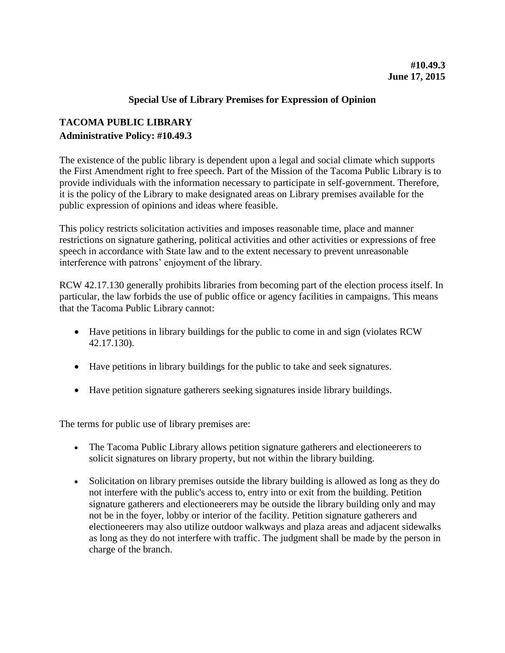## **Special Use of Library Premises for Expression of Opinion**

## **TACOMA PUBLIC LIBRARY Administrative Policy: #10.49.3**

The existence of the public library is dependent upon a legal and social climate which supports the First Amendment right to free speech. Part of the Mission of the Tacoma Public Library is to provide individuals with the information necessary to participate in self-government. Therefore, it is the policy of the Library to make designated areas on Library premises available for the public expression of opinions and ideas where feasible.

This policy restricts solicitation activities and imposes reasonable time, place and manner restrictions on signature gathering, political activities and other activities or expressions of free speech in accordance with State law and to the extent necessary to prevent unreasonable interference with patrons' enjoyment of the library.

RCW 42.17.130 generally prohibits libraries from becoming part of the election process itself. In particular, the law forbids the use of public office or agency facilities in campaigns. This means that the Tacoma Public Library cannot:

- Have petitions in library buildings for the public to come in and sign (violates RCW 42.17.130).
- Have petitions in library buildings for the public to take and seek signatures.
- Have petition signature gatherers seeking signatures inside library buildings.

The terms for public use of library premises are:

- The Tacoma Public Library allows petition signature gatherers and electioneerers to solicit signatures on library property, but not within the library building.
- Solicitation on library premises outside the library building is allowed as long as they do not interfere with the public's access to, entry into or exit from the building. Petition signature gatherers and electioneerers may be outside the library building only and may not be in the foyer, lobby or interior of the facility. Petition signature gatherers and electioneerers may also utilize outdoor walkways and plaza areas and adjacent sidewalks as long as they do not interfere with traffic. The judgment shall be made by the person in charge of the branch.